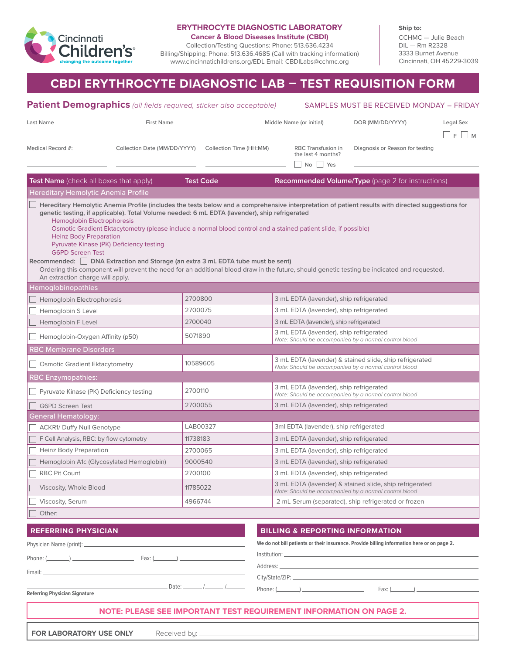

# **ERYTHROCYTE DIAGNOSTIC LABORATORY**

**Cancer & Blood Diseases Institute (CBDI)**

Collection/Testing Questions: Phone: 513.636.4234 Billing/Shipping: Phone: 513.636.4685 (Call with tracking information) www.cincinnatichildrens.org/EDL Email: CBDILabs@cchmc.org

**Ship to:** CCHMC — Julie Beach DIL — Rm R2328 3333 Burnet Avenue Cincinnati, OH 45229-3039

# **CBDI ERYTHROCYTE DIAGNOSTIC LAB – TEST REQUISITION FORM**

## **Patient Demographics** *(all fields required, sticker also acceptable)* Last Name The School of Text Name First Name (or initial) The Middle Name (or initial) COB (MM/DD/YYYY) Legal Sex  $\Box$  F  $\Box$  M Medical Record #: Collection Date (MM/DD/YYYY) Collection Time (HH:MM) RBC Transfusion in Diagnosis or Reason for testing No Yes **Test Name** (check all boxes that apply) **Test Code Recommended Volume/Type** (page 2 for instructions) Hereditary Hemolytic Anemia Profile **Hereditary Hemolytic Anemia Profile (includes the tests below and a comprehensive interpretation of patient results with directed suggestions for genetic testing, if applicable). Total Volume needed: 6 mL EDTA (lavender), ship refrigerated** Hemoglobin Electrophoresis Osmotic Gradient Ektacytometry (please include a normal blood control and a stained patient slide, if possible) Heinz Body Preparation Pyruvate Kinase (PK) Deficiency testing G6PD Screen Test **Recommended: DNA Extraction and Storage (an extra 3 mL EDTA tube must be sent)** Ordering this component will prevent the need for an additional blood draw in the future, should genetic testing be indicated and requested. An extraction charge will apply. Hemoglobinopathies □ Hemoglobin Electrophoresis 2700800 3 mL EDTA (lavender), ship refrigerated Hemoglobin S Level 2700075 3 mL EDTA (lavender), ship refrigerated Hemoglobin F Level 2700040 3 mL EDTA (lavender), ship refrigerated ■ Hemoglobin-Oxygen Affinity (p50) 5071890 3 mL EDTA (lavender), ship refrigerated *Note: Should be accompanied by a normal control blood* RBC Membrane Disorders Osmotic Gradient Ektacytometry 10589605 3 mL EDTA (lavender) & stained slide, ship refrigerated *Note: Should be accompanied by a normal control blood* RBC Enzymopathies: Pyruvate Kinase (PK) Deficiency testing 2700110 3 mL EDTA (lavender), ship refrigerated *Note: Should be accompanied by a normal control blood* G6PD Screen Test 2700055 3 mL EDTA (lavender), ship refrigerated General Hematology: ACKR1/ Duffy Null Genotype LAB00327 3ml EDTA (lavender), ship refrigerated F Cell Analysis, RBC: by flow cytometry 11738183 3 and EDTA (lavender), ship refrigerated Heinz Body Preparation 2700065 3 mL EDTA (lavender), ship refrigerated Hemoglobin A1c (Glycosylated Hemoglobin) 9000540 3 mL EDTA (lavender), ship refrigerated RBC Pit Count 2700100 3 mL EDTA (lavender), ship refrigerated Viscosity, Whole Blood 11785022 3 mL EDTA (lavender) & stained slide, ship refrigerated *Note: Should be accompanied by a normal control blood* Viscosity, Serum 4966744 2 mL Serum (separated), ship refrigerated or frozen Other: SAMPLES MUST BE RECEIVED MONDAY – FRIDAY **REFERRING PHYSICIAN BILLING & REPORTING INFORMATION** the last 4 months? Physician Name (print): Phone: ( ) Fax: ( ) Email: **We do not bill patients or their insurance. Provide billing information here or on page 2.** Institution: Address: City/State/ZIP:

**Referring Physician Signature**

# **NOTE: PLEASE SEE IMPORTANT TEST REQUIREMENT INFORMATION ON PAGE 2.**

Phone: ( ) Fax: ( )

**FOR LABORATORY USE ONLY** Received by:

Date: